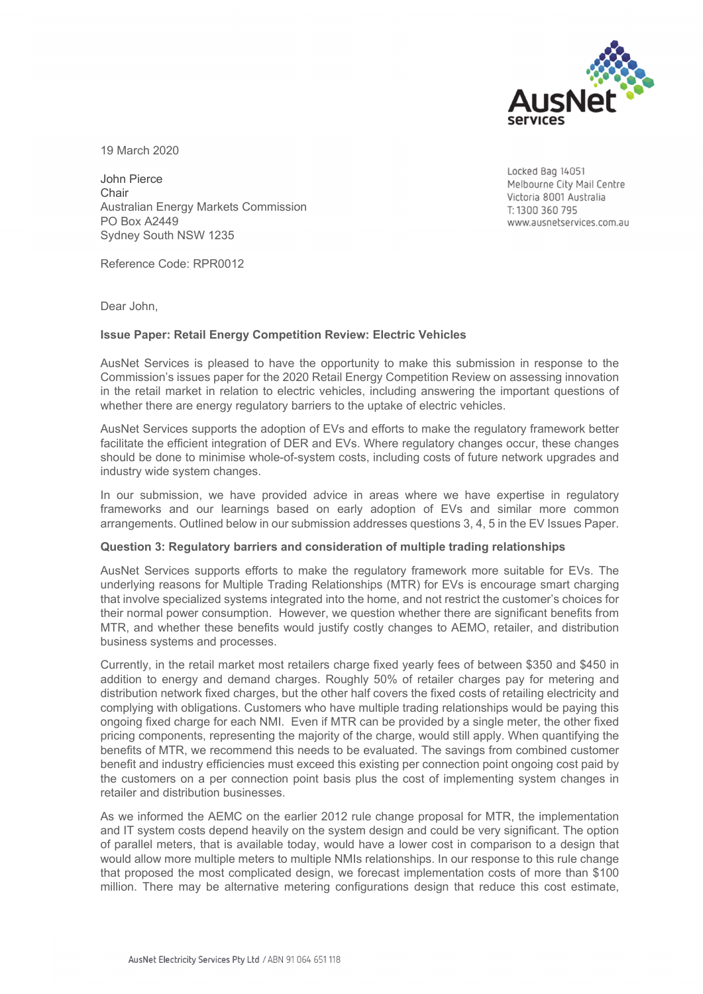

19 March 2020

John Pierce **Chair** Australian Energy Markets Commission PO Box A2449 Sydney South NSW 1235

Locked Bag 14051 Melbourne City Mail Centre Victoria 8001 Australia T: 1300 360 795 www.ausnetservices.com.au

Reference Code: RPR0012

Dear John,

## **Issue Paper: Retail Energy Competition Review: Electric Vehicles**

AusNet Services is pleased to have the opportunity to make this submission in response to the Commission's issues paper for the 2020 Retail Energy Competition Review on assessing innovation in the retail market in relation to electric vehicles, including answering the important questions of whether there are energy regulatory barriers to the uptake of electric vehicles.

AusNet Services supports the adoption of EVs and efforts to make the regulatory framework better facilitate the efficient integration of DER and EVs. Where regulatory changes occur, these changes should be done to minimise whole-of-system costs, including costs of future network upgrades and industry wide system changes.

In our submission, we have provided advice in areas where we have expertise in regulatory frameworks and our learnings based on early adoption of EVs and similar more common arrangements. Outlined below in our submission addresses questions 3, 4, 5 in the EV Issues Paper.

## **Question 3: Regulatory barriers and consideration of multiple trading relationships**

AusNet Services supports efforts to make the regulatory framework more suitable for EVs. The underlying reasons for Multiple Trading Relationships (MTR) for EVs is encourage smart charging that involve specialized systems integrated into the home, and not restrict the customer's choices for their normal power consumption. However, we question whether there are significant benefits from MTR, and whether these benefits would justify costly changes to AEMO, retailer, and distribution business systems and processes.

Currently, in the retail market most retailers charge fixed yearly fees of between \$350 and \$450 in addition to energy and demand charges. Roughly 50% of retailer charges pay for metering and distribution network fixed charges, but the other half covers the fixed costs of retailing electricity and complying with obligations. Customers who have multiple trading relationships would be paying this ongoing fixed charge for each NMI. Even if MTR can be provided by a single meter, the other fixed pricing components, representing the majority of the charge, would still apply. When quantifying the benefits of MTR, we recommend this needs to be evaluated. The savings from combined customer benefit and industry efficiencies must exceed this existing per connection point ongoing cost paid by the customers on a per connection point basis plus the cost of implementing system changes in retailer and distribution businesses.

As we informed the AEMC on the earlier 2012 rule change proposal for MTR, the implementation and IT system costs depend heavily on the system design and could be very significant. The option of parallel meters, that is available today, would have a lower cost in comparison to a design that would allow more multiple meters to multiple NMIs relationships. In our response to this rule change that proposed the most complicated design, we forecast implementation costs of more than \$100 million. There may be alternative metering configurations design that reduce this cost estimate,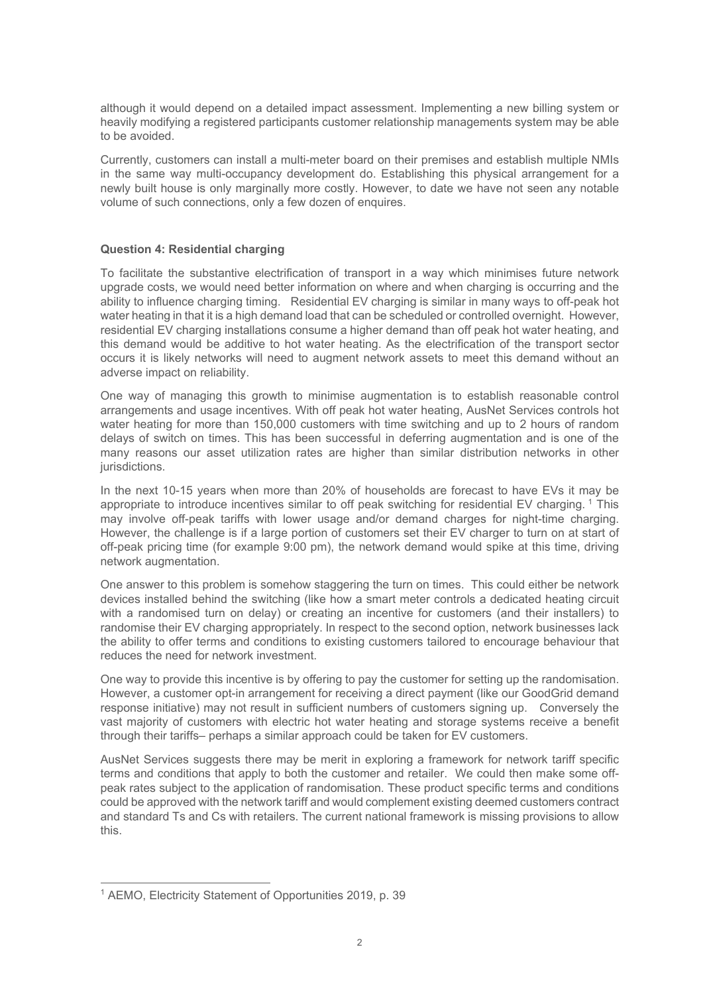although it would depend on a detailed impact assessment. Implementing a new billing system or heavily modifying a registered participants customer relationship managements system may be able to be avoided.

Currently, customers can install a multi-meter board on their premises and establish multiple NMIs in the same way multi-occupancy development do. Establishing this physical arrangement for a newly built house is only marginally more costly. However, to date we have not seen any notable volume of such connections, only a few dozen of enquires.

## **Question 4: Residential charging**

To facilitate the substantive electrification of transport in a way which minimises future network upgrade costs, we would need better information on where and when charging is occurring and the ability to influence charging timing. Residential EV charging is similar in many ways to off-peak hot water heating in that it is a high demand load that can be scheduled or controlled overnight. However, residential EV charging installations consume a higher demand than off peak hot water heating, and this demand would be additive to hot water heating. As the electrification of the transport sector occurs it is likely networks will need to augment network assets to meet this demand without an adverse impact on reliability.

One way of managing this growth to minimise augmentation is to establish reasonable control arrangements and usage incentives. With off peak hot water heating, AusNet Services controls hot water heating for more than 150,000 customers with time switching and up to 2 hours of random delays of switch on times. This has been successful in deferring augmentation and is one of the many reasons our asset utilization rates are higher than similar distribution networks in other jurisdictions.

In the next 10-15 years when more than 20% of households are forecast to have EVs it may be appropriate to introduce incentives similar to off peak switching for residential EV charging.<sup>1</sup> This may involve off-peak tariffs with lower usage and/or demand charges for night-time charging. However, the challenge is if a large portion of customers set their EV charger to turn on at start of off-peak pricing time (for example 9:00 pm), the network demand would spike at this time, driving network augmentation.

One answer to this problem is somehow staggering the turn on times. This could either be network devices installed behind the switching (like how a smart meter controls a dedicated heating circuit with a randomised turn on delay) or creating an incentive for customers (and their installers) to randomise their EV charging appropriately. In respect to the second option, network businesses lack the ability to offer terms and conditions to existing customers tailored to encourage behaviour that reduces the need for network investment.

One way to provide this incentive is by offering to pay the customer for setting up the randomisation. However, a customer opt-in arrangement for receiving a direct payment (like our GoodGrid demand response initiative) may not result in sufficient numbers of customers signing up. Conversely the vast majority of customers with electric hot water heating and storage systems receive a benefit through their tariffs– perhaps a similar approach could be taken for EV customers.

AusNet Services suggests there may be merit in exploring a framework for network tariff specific terms and conditions that apply to both the customer and retailer. We could then make some offpeak rates subject to the application of randomisation. These product specific terms and conditions could be approved with the network tariff and would complement existing deemed customers contract and standard Ts and Cs with retailers. The current national framework is missing provisions to allow this.

<sup>1</sup> AEMO, Electricity Statement of Opportunities 2019, p. 39